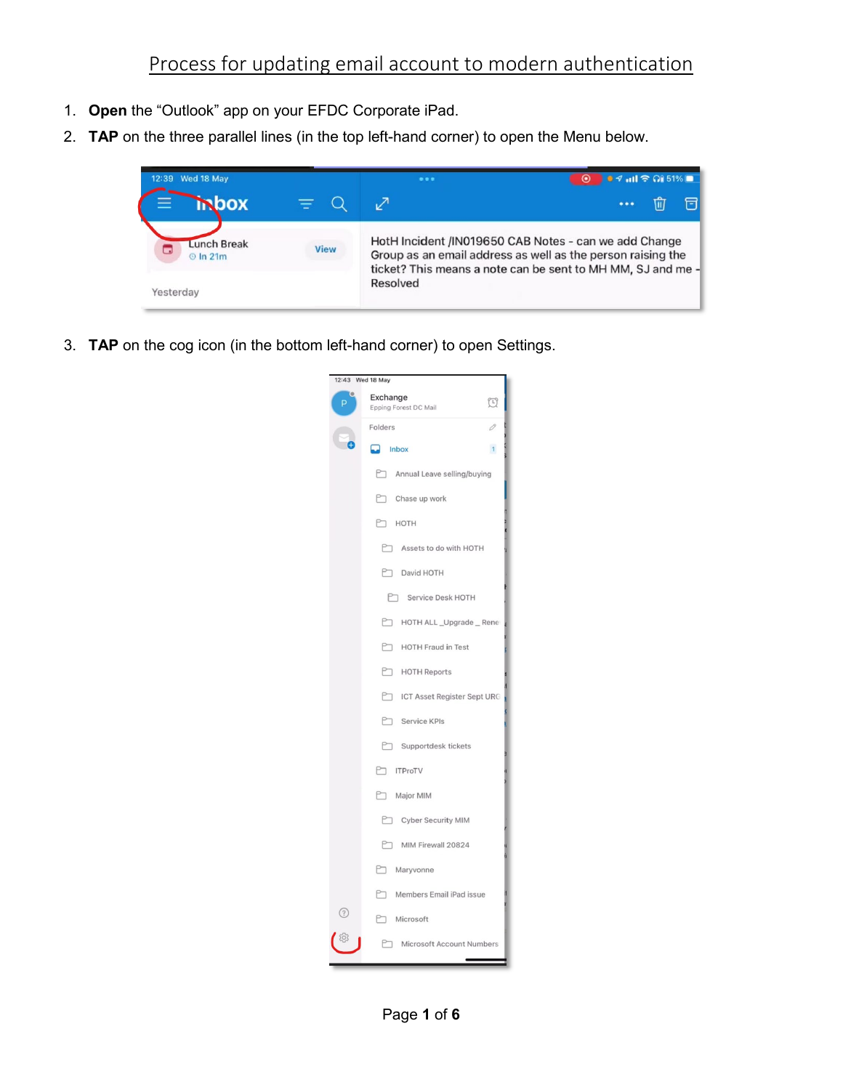- 1. **Open** the "Outlook" app on your EFDC Corporate iPad.
- 2. **TAP** on the three parallel lines (in the top left-hand corner) to open the Menu below.



3. **TAP** on the cog icon (in the bottom left-hand corner) to open Settings.

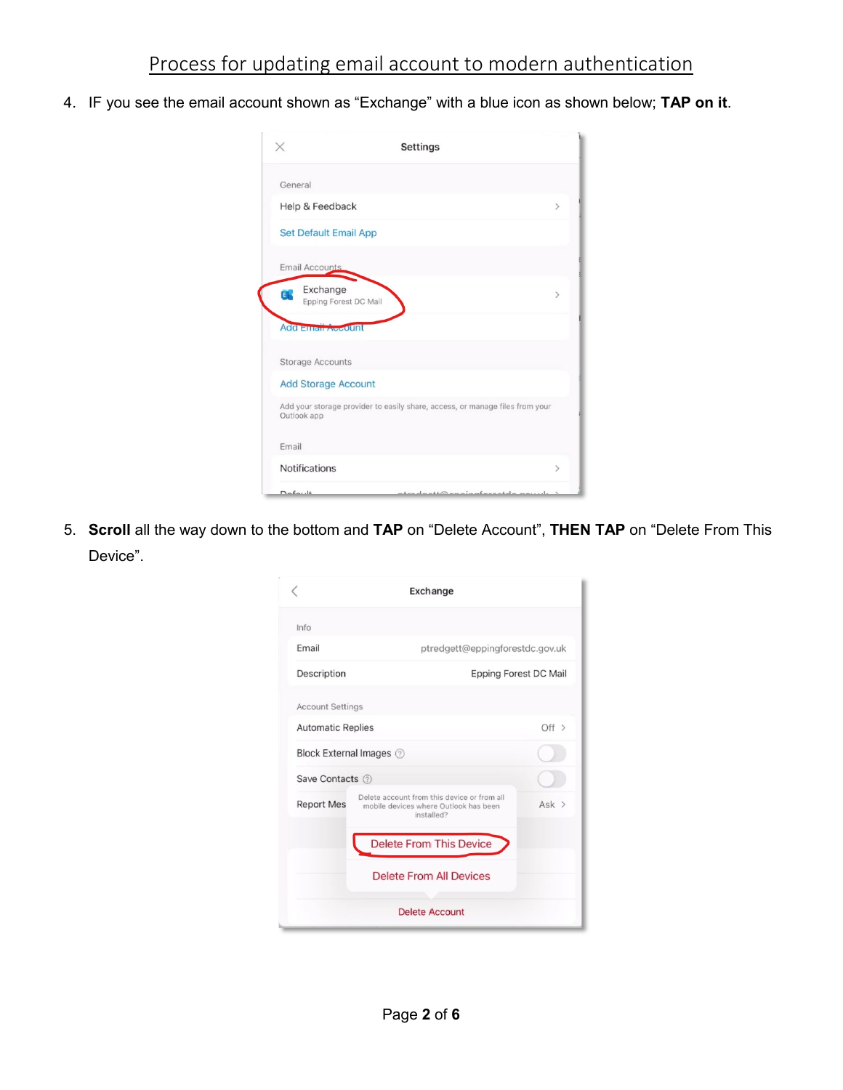4. IF you see the email account shown as "Exchange" with a blue icon as shown below; **TAP on it**.

|                            | <b>Settings</b>                                                              |               |
|----------------------------|------------------------------------------------------------------------------|---------------|
| General                    |                                                                              |               |
| Help & Feedback            |                                                                              | $\mathcal{P}$ |
|                            | <b>Set Default Email App</b>                                                 |               |
| <b>Email Accounts</b>      |                                                                              |               |
| Exchange<br>E              | Epping Forest DC Mail                                                        | $\mathcal{P}$ |
| <b>Add Email Account</b>   |                                                                              |               |
| <b>Storage Accounts</b>    |                                                                              |               |
| <b>Add Storage Account</b> |                                                                              |               |
| Outlook app                | Add your storage provider to easily share, access, or manage files from your |               |
| Email                      |                                                                              |               |
|                            | <b>Notifications</b>                                                         | $\mathcal{P}$ |

5. **Scroll** all the way down to the bottom and **TAP** on "Delete Account", **THEN TAP** on "Delete From This Device".

|                          | Exchange                                                                                           |         |
|--------------------------|----------------------------------------------------------------------------------------------------|---------|
| Info                     |                                                                                                    |         |
| Email                    | ptredgett@eppingforestdc.gov.uk                                                                    |         |
| Description              | Epping Forest DC Mail                                                                              |         |
| <b>Account Settings</b>  |                                                                                                    |         |
| <b>Automatic Replies</b> |                                                                                                    | $Off$ > |
|                          | Block External Images (?)                                                                          |         |
| Save Contacts (?)        |                                                                                                    |         |
| <b>Report Mes</b>        | Delete account from this device or from all<br>mobile devices where Outlook has been<br>installed? | $Ask$ > |
|                          | <b>Delete From This Device</b>                                                                     |         |
|                          | Delete From All Devices                                                                            |         |
|                          | <b>Delete Account</b>                                                                              |         |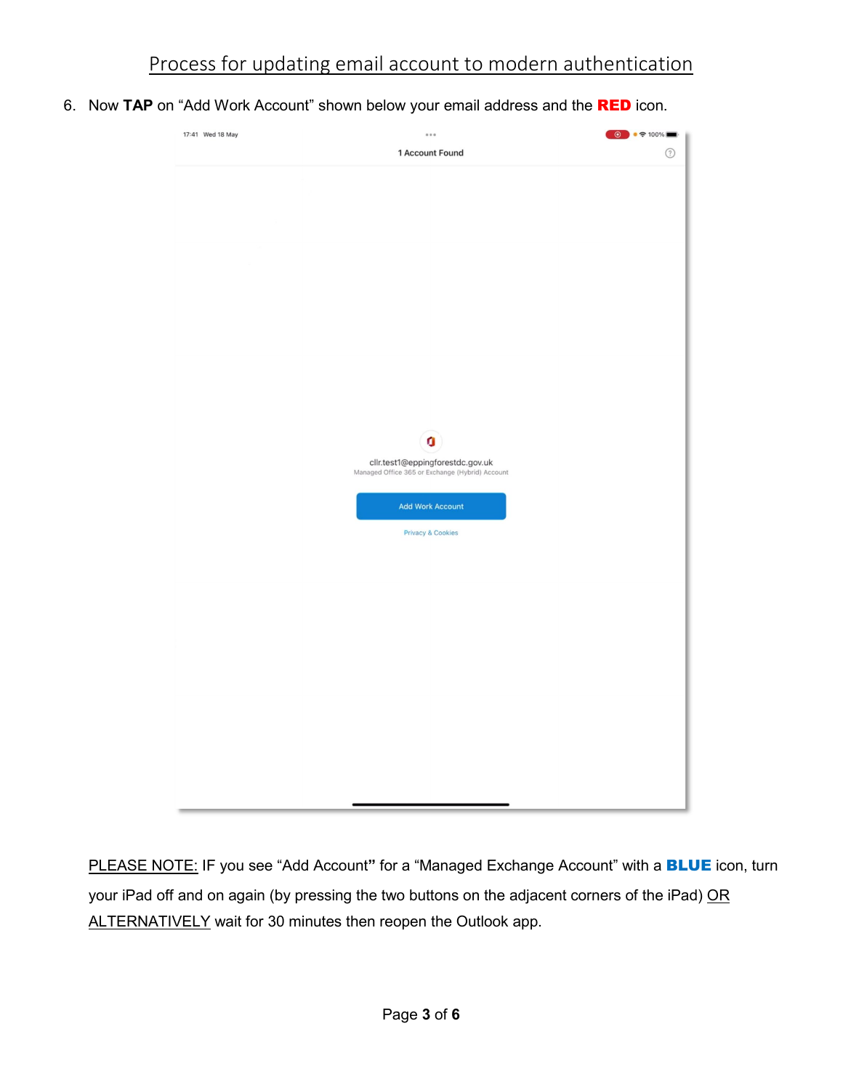6. Now **TAP** on "Add Work Account" shown below your email address and the RED icon.



PLEASE NOTE: IF you see "Add Account**"** for a "Managed Exchange Account" with a BLUE icon, turn your iPad off and on again (by pressing the two buttons on the adjacent corners of the iPad) OR ALTERNATIVELY wait for 30 minutes then reopen the Outlook app.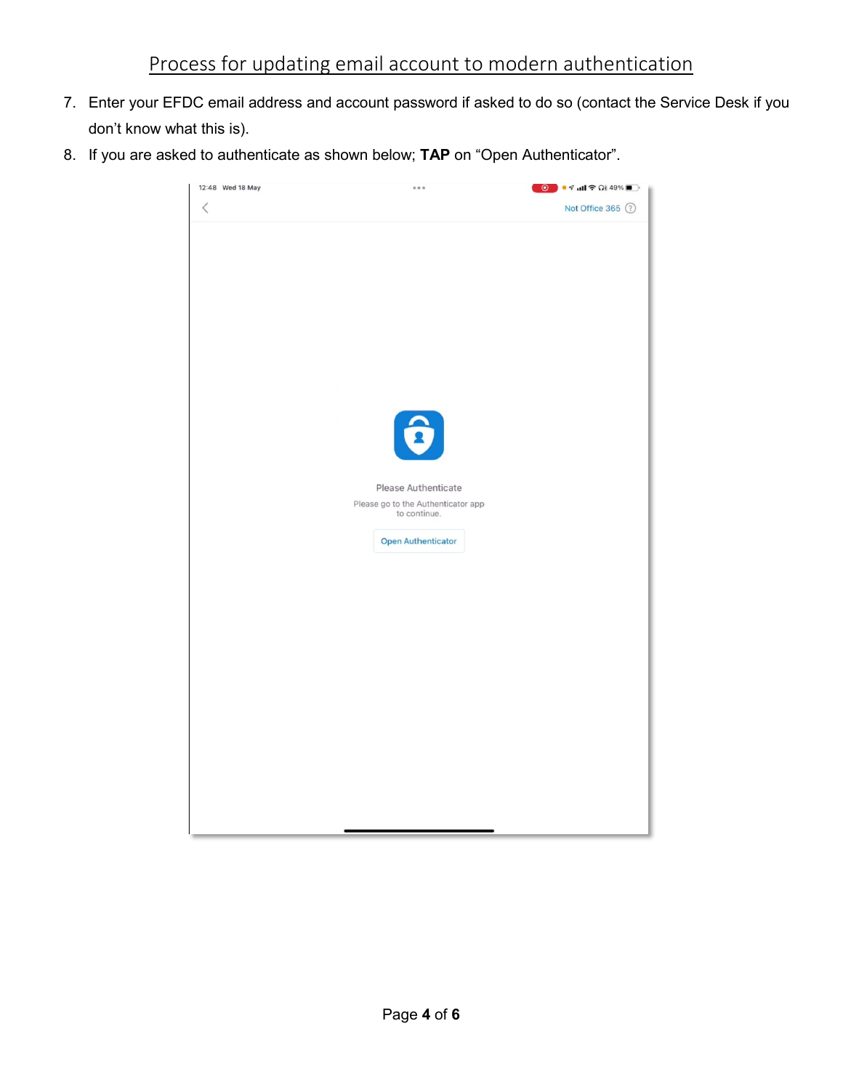- 7. Enter your EFDC email address and account password if asked to do so (contact the Service Desk if you don't know what this is).
- 8. If you are asked to authenticate as shown below; **TAP** on "Open Authenticator".

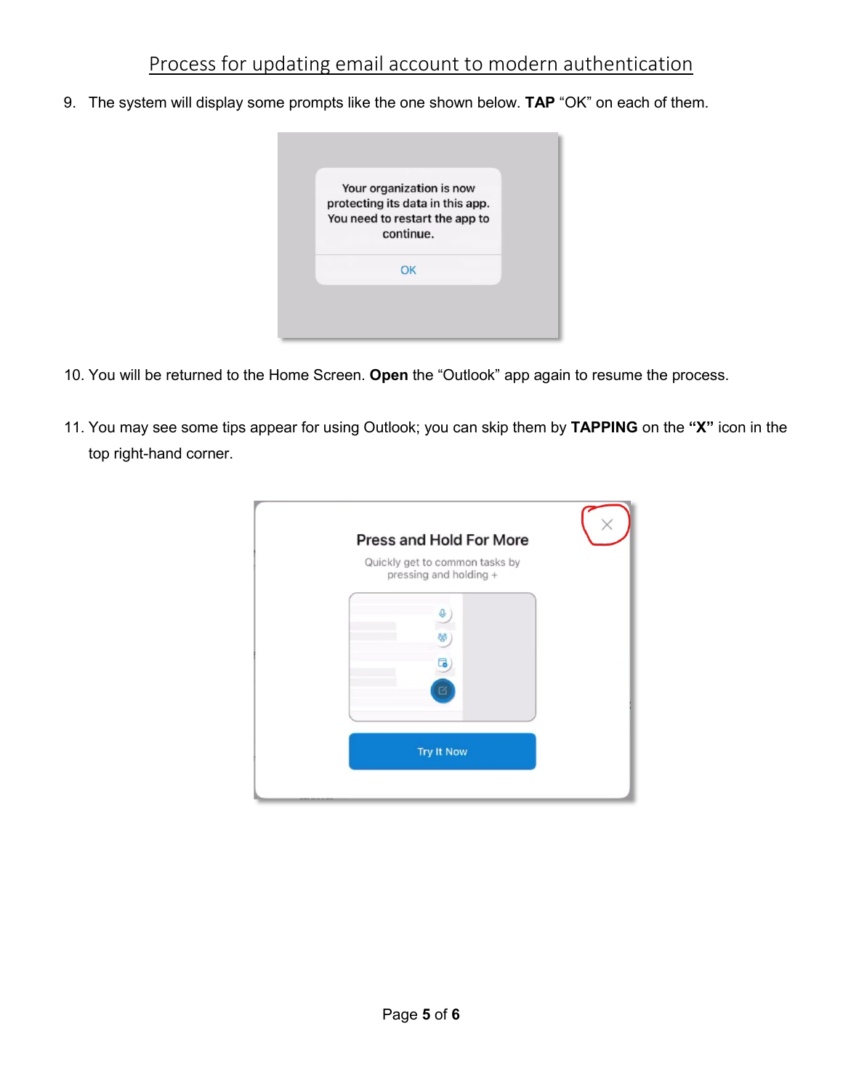## Process for updating email account to modern authentication

9. The system will display some prompts like the one shown below. **TAP** "OK" on each of them.



- 10. You will be returned to the Home Screen. **Open** the "Outlook" app again to resume the process.
- 11. You may see some tips appear for using Outlook; you can skip them by **TAPPING** on the **"X"** icon in the top right-hand corner.

| Press and Hold For More                                  |  |
|----------------------------------------------------------|--|
| Quickly get to common tasks by<br>pressing and holding + |  |
|                                                          |  |
| ಹಿ                                                       |  |
|                                                          |  |
|                                                          |  |
|                                                          |  |
| <b>Try It Now</b>                                        |  |